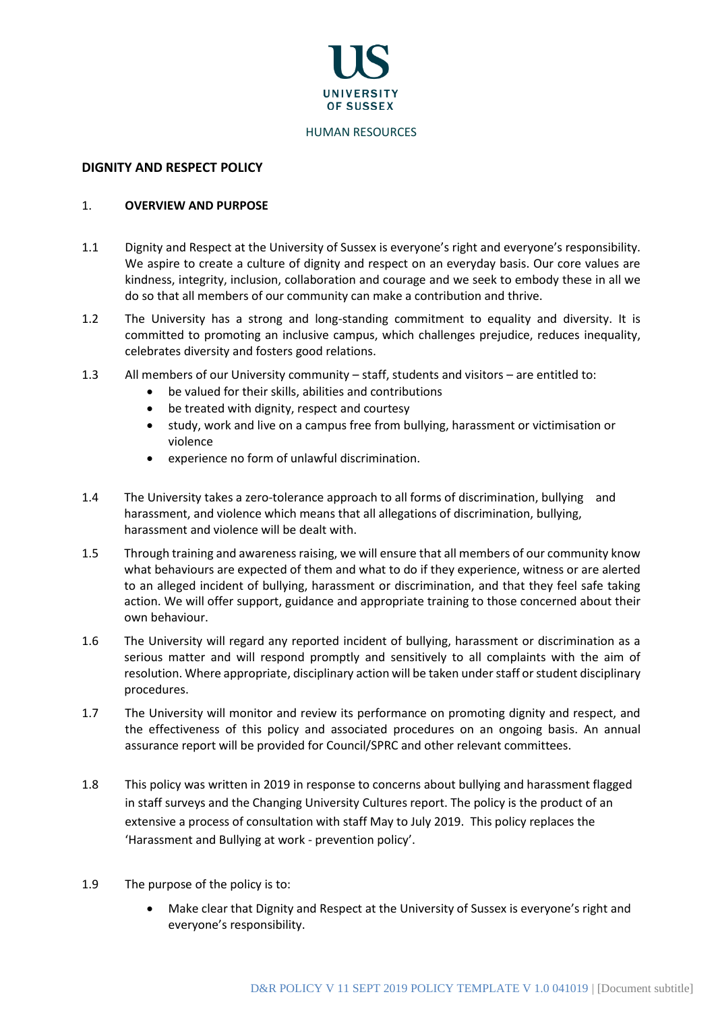

#### HUMAN RESOURCES

## **DIGNITY AND RESPECT POLICY**

#### 1. **OVERVIEW AND PURPOSE**

- 1.1 Dignity and Respect at the University of Sussex is everyone's right and everyone's responsibility. We aspire to create a culture of dignity and respect on an everyday basis. Our core values are kindness, integrity, inclusion, collaboration and courage and we seek to embody these in all we do so that all members of our community can make a contribution and thrive.
- 1.2 The University has a strong and long-standing commitment to equality and diversity. It is committed to promoting an inclusive campus, which challenges prejudice, reduces inequality, celebrates diversity and fosters good relations.
- 1.3 All members of our University community staff, students and visitors are entitled to:
	- be valued for their skills, abilities and contributions
	- be treated with dignity, respect and courtesy
	- study, work and live on a campus free from bullying, harassment or victimisation or violence
	- experience no form of unlawful discrimination.
- 1.4 The University takes a zero-tolerance approach to all forms of discrimination, bullying and harassment, and violence which means that all allegations of discrimination, bullying, harassment and violence will be dealt with.
- 1.5 Through training and awareness raising, we will ensure that all members of our community know what behaviours are expected of them and what to do if they experience, witness or are alerted to an alleged incident of bullying, harassment or discrimination, and that they feel safe taking action. We will offer support, guidance and appropriate training to those concerned about their own behaviour.
- 1.6 The University will regard any reported incident of bullying, harassment or discrimination as a serious matter and will respond promptly and sensitively to all complaints with the aim of resolution. Where appropriate, disciplinary action will be taken under staff or student disciplinary procedures.
- 1.7 The University will monitor and review its performance on promoting dignity and respect, and the effectiveness of this policy and associated procedures on an ongoing basis. An annual assurance report will be provided for Council/SPRC and other relevant committees.
- 1.8 This policy was written in 2019 in response to concerns about bullying and harassment flagged in staff surveys and the Changing University Cultures report. The policy is the product of an extensive a process of consultation with staff May to July 2019. This policy replaces the 'Harassment and Bullying at work - prevention policy'.
- 1.9 The purpose of the policy is to:
	- Make clear that Dignity and Respect at the University of Sussex is everyone's right and everyone's responsibility.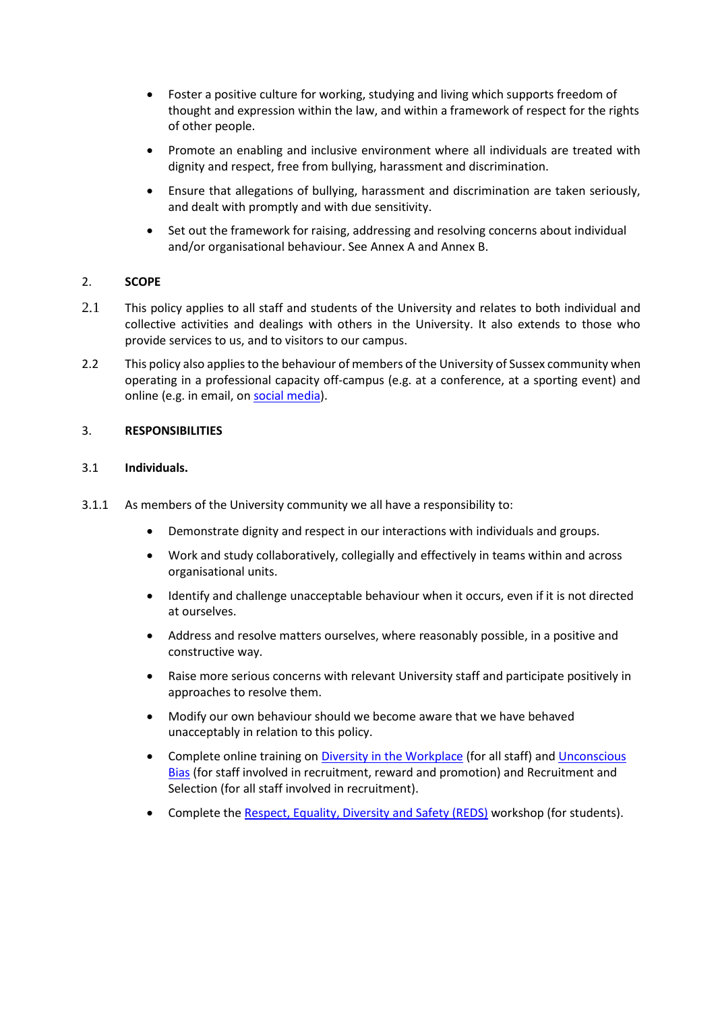- Foster a positive culture for working, studying and living which supports freedom of thought and expression within the law, and within a framework of respect for the rights of other people.
- Promote an enabling and inclusive environment where all individuals are treated with dignity and respect, free from bullying, harassment and discrimination.
- Ensure that allegations of bullying, harassment and discrimination are taken seriously, and dealt with promptly and with due sensitivity.
- Set out the framework for raising, addressing and resolving concerns about individual and/or organisational behaviour. See Annex A and Annex B.

## 2. **SCOPE**

- 2.1 This policy applies to all staff and students of the University and relates to both individual and collective activities and dealings with others in the University. It also extends to those who provide services to us, and to visitors to our campus.
- 2.2 This policy also applies to the behaviour of members of the University of Sussex community when operating in a professional capacity off-campus (e.g. at a conference, at a sporting event) and online (e.g. in email, on [social media\)](https://www.sussex.ac.uk/brand/staff/social).

## 3. **RESPONSIBILITIES**

## 3.1 **Individuals.**

- 3.1.1 As members of the University community we all have a responsibility to:
	- Demonstrate dignity and respect in our interactions with individuals and groups.
	- Work and study collaboratively, collegially and effectively in teams within and across organisational units.
	- Identify and challenge unacceptable behaviour when it occurs, even if it is not directed at ourselves.
	- Address and resolve matters ourselves, where reasonably possible, in a positive and constructive way.
	- Raise more serious concerns with relevant University staff and participate positively in approaches to resolve them.
	- Modify our own behaviour should we become aware that we have behaved unacceptably in relation to this policy.
	- Complete online training on [Diversity in the Workplace](https://www.sussex.ac.uk/organisational-development/courses/equality-and-diversity) (for all staff) and Unconscious [Bias](https://www.sussex.ac.uk/organisational-development/online) (for staff involved in recruitment, reward and promotion) and Recruitment and Selection (for all staff involved in recruitment).
	- Complete the [Respect, Equality, Diversity and Safety \(REDS\)](http://www.sussex.ac.uk/wellbeing/studentlife/reds) workshop (for students).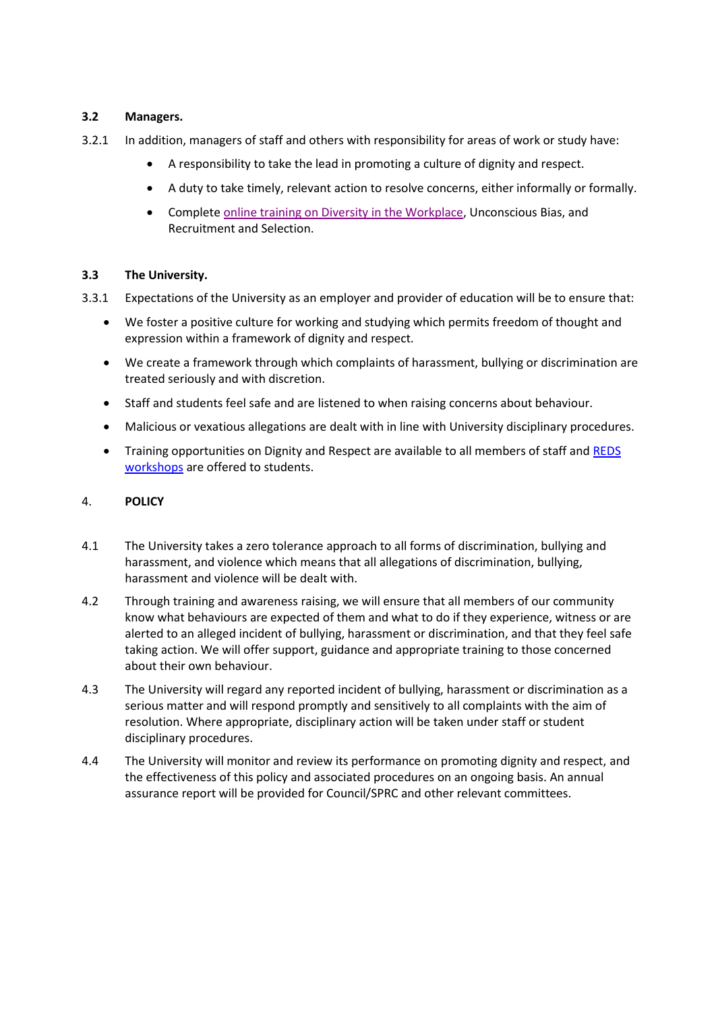## **3.2 Managers.**

- 3.2.1 In addition, managers of staff and others with responsibility for areas of work or study have:
	- A responsibility to take the lead in promoting a culture of dignity and respect.
	- A duty to take timely, relevant action to resolve concerns, either informally or formally.
	- Complete [online training on Diversity in the Workplace,](https://www.sussex.ac.uk/organisational-development/courses/equality-and-diversity) Unconscious Bias, and Recruitment and Selection.

## **3.3 The University.**

- 3.3.1 Expectations of the University as an employer and provider of education will be to ensure that:
	- We foster a positive culture for working and studying which permits freedom of thought and expression within a framework of dignity and respect.
	- We create a framework through which complaints of harassment, bullying or discrimination are treated seriously and with discretion.
	- Staff and students feel safe and are listened to when raising concerns about behaviour.
	- Malicious or vexatious allegations are dealt with in line with University disciplinary procedures.
	- Training opportunities on Dignity and Respect are available to all members of staff and REDS [workshops](http://www.sussex.ac.uk/wellbeing/studentlife/reds) are offered to students.

# 4. **POLICY**

- 4.1 The University takes a zero tolerance approach to all forms of discrimination, bullying and harassment, and violence which means that all allegations of discrimination, bullying, harassment and violence will be dealt with.
- 4.2 Through training and awareness raising, we will ensure that all members of our community know what behaviours are expected of them and what to do if they experience, witness or are alerted to an alleged incident of bullying, harassment or discrimination, and that they feel safe taking action. We will offer support, guidance and appropriate training to those concerned about their own behaviour.
- 4.3 The University will regard any reported incident of bullying, harassment or discrimination as a serious matter and will respond promptly and sensitively to all complaints with the aim of resolution. Where appropriate, disciplinary action will be taken under staff or student disciplinary procedures.
- 4.4 The University will monitor and review its performance on promoting dignity and respect, and the effectiveness of this policy and associated procedures on an ongoing basis. An annual assurance report will be provided for Council/SPRC and other relevant committees.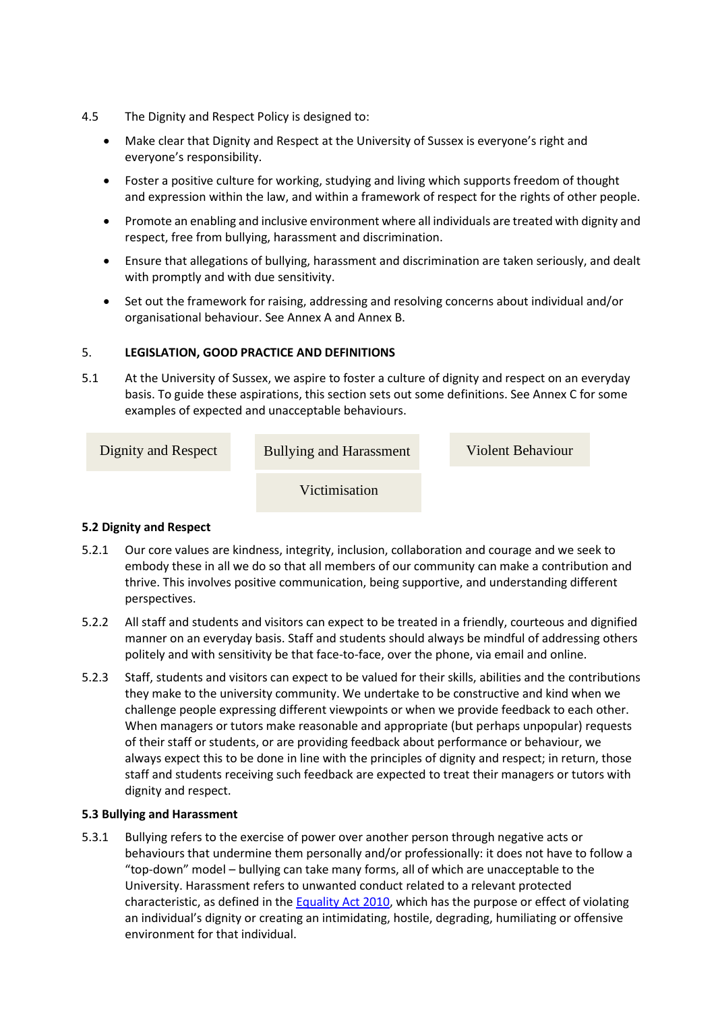- 4.5 The Dignity and Respect Policy is designed to:
	- Make clear that Dignity and Respect at the University of Sussex is everyone's right and everyone's responsibility.
	- Foster a positive culture for working, studying and living which supports freedom of thought and expression within the law, and within a framework of respect for the rights of other people.
	- Promote an enabling and inclusive environment where all individuals are treated with dignity and respect, free from bullying, harassment and discrimination.
	- Ensure that allegations of bullying, harassment and discrimination are taken seriously, and dealt with promptly and with due sensitivity.
	- Set out the framework for raising, addressing and resolving concerns about individual and/or organisational behaviour. See Annex A and Annex B.

## 5. **LEGISLATION, GOOD PRACTICE AND DEFINITIONS**

5.1 At the University of Sussex, we aspire to foster a culture of dignity and respect on an everyday basis. To guide these aspirations, this section sets out some definitions. See Annex C for some examples of expected and unacceptable behaviours.

| Dignity and Respect | <b>Bullying and Harassment</b> | <b>Violent Behaviour</b> |
|---------------------|--------------------------------|--------------------------|
|                     | Victimisation                  |                          |

## **5.2 Dignity and Respect**

- 5.2.1 Our core values are kindness, integrity, inclusion, collaboration and courage and we seek to embody these in all we do so that all members of our community can make a contribution and thrive. This involves positive communication, being supportive, and understanding different perspectives.
- 5.2.2 All staff and students and visitors can expect to be treated in a friendly, courteous and dignified manner on an everyday basis. Staff and students should always be mindful of addressing others politely and with sensitivity be that face-to-face, over the phone, via email and online.
- 5.2.3 Staff, students and visitors can expect to be valued for their skills, abilities and the contributions they make to the university community. We undertake to be constructive and kind when we challenge people expressing different viewpoints or when we provide feedback to each other. When managers or tutors make reasonable and appropriate (but perhaps unpopular) requests of their staff or students, or are providing feedback about performance or behaviour, we always expect this to be done in line with the principles of dignity and respect; in return, those staff and students receiving such feedback are expected to treat their managers or tutors with dignity and respect.

## **5.3 Bullying and Harassment**

5.3.1 Bullying refers to the exercise of power over another person through negative acts or behaviours that undermine them personally and/or professionally: it does not have to follow a "top-down" model – bullying can take many forms, all of which are unacceptable to the University. Harassment refers to unwanted conduct related to a relevant protected characteristic, as defined in the [Equality Act 2010,](https://www.sussex.ac.uk/webteam/gateway/file.php?name=equality-act-webpage.pdf&site=302) which has the purpose or effect of violating an individual's dignity or creating an intimidating, hostile, degrading, humiliating or offensive environment for that individual.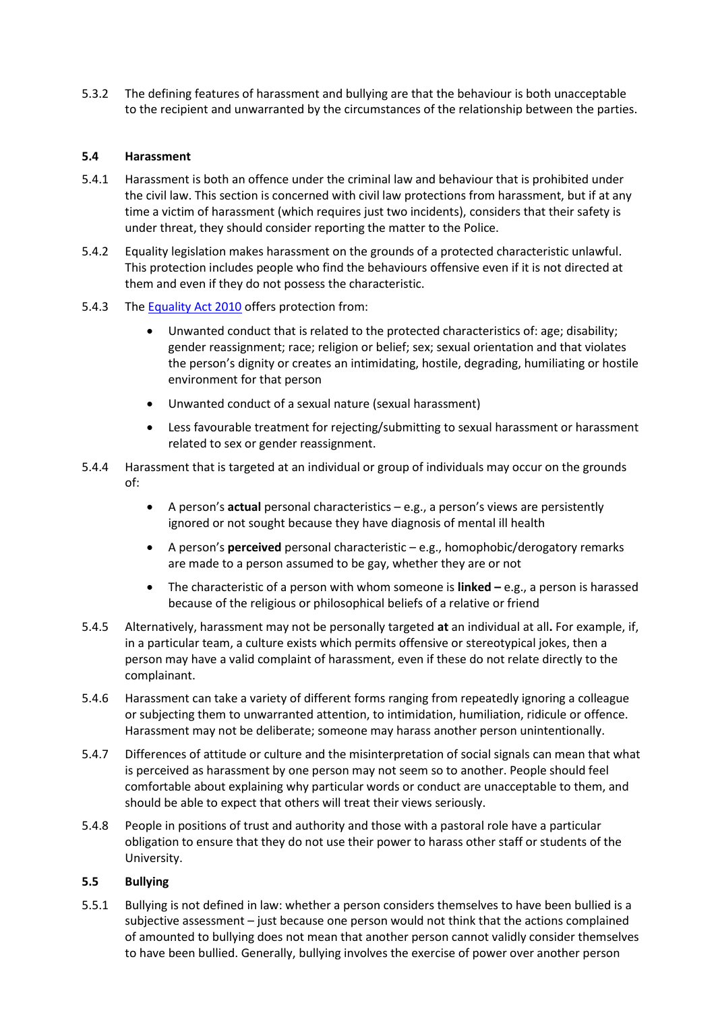5.3.2 The defining features of harassment and bullying are that the behaviour is both unacceptable to the recipient and unwarranted by the circumstances of the relationship between the parties.

## **5.4 Harassment**

- 5.4.1 Harassment is both an offence under the criminal law and behaviour that is prohibited under the civil law. This section is concerned with civil law protections from harassment, but if at any time a victim of harassment (which requires just two incidents), considers that their safety is under threat, they should consider reporting the matter to the Police.
- 5.4.2 Equality legislation makes harassment on the grounds of a protected characteristic unlawful. This protection includes people who find the behaviours offensive even if it is not directed at them and even if they do not possess the characteristic.
- 5.4.3 The [Equality Act 2010](https://www.sussex.ac.uk/webteam/gateway/file.php?name=equality-act-webpage.pdf&site=302) offers protection from:
	- Unwanted conduct that is related to the protected characteristics of: age; disability; gender reassignment; race; religion or belief; sex; sexual orientation and that violates the person's dignity or creates an intimidating, hostile, degrading, humiliating or hostile environment for that person
	- Unwanted conduct of a sexual nature (sexual harassment)
	- Less favourable treatment for rejecting/submitting to sexual harassment or harassment related to sex or gender reassignment.
- 5.4.4 Harassment that is targeted at an individual or group of individuals may occur on the grounds of:
	- A person's **actual** personal characteristics e.g., a person's views are persistently ignored or not sought because they have diagnosis of mental ill health
	- A person's **perceived** personal characteristic e.g., homophobic/derogatory remarks are made to a person assumed to be gay, whether they are or not
	- The characteristic of a person with whom someone is **linked –** e.g., a person is harassed because of the religious or philosophical beliefs of a relative or friend
- 5.4.5 Alternatively, harassment may not be personally targeted **at** an individual at all**.** For example, if, in a particular team, a culture exists which permits offensive or stereotypical jokes, then a person may have a valid complaint of harassment, even if these do not relate directly to the complainant.
- 5.4.6 Harassment can take a variety of different forms ranging from repeatedly ignoring a colleague or subjecting them to unwarranted attention, to intimidation, humiliation, ridicule or offence. Harassment may not be deliberate; someone may harass another person unintentionally.
- 5.4.7 Differences of attitude or culture and the misinterpretation of social signals can mean that what is perceived as harassment by one person may not seem so to another. People should feel comfortable about explaining why particular words or conduct are unacceptable to them, and should be able to expect that others will treat their views seriously.
- 5.4.8 People in positions of trust and authority and those with a pastoral role have a particular obligation to ensure that they do not use their power to harass other staff or students of the University.

## **5.5 Bullying**

5.5.1 Bullying is not defined in law: whether a person considers themselves to have been bullied is a subjective assessment – just because one person would not think that the actions complained of amounted to bullying does not mean that another person cannot validly consider themselves to have been bullied. Generally, bullying involves the exercise of power over another person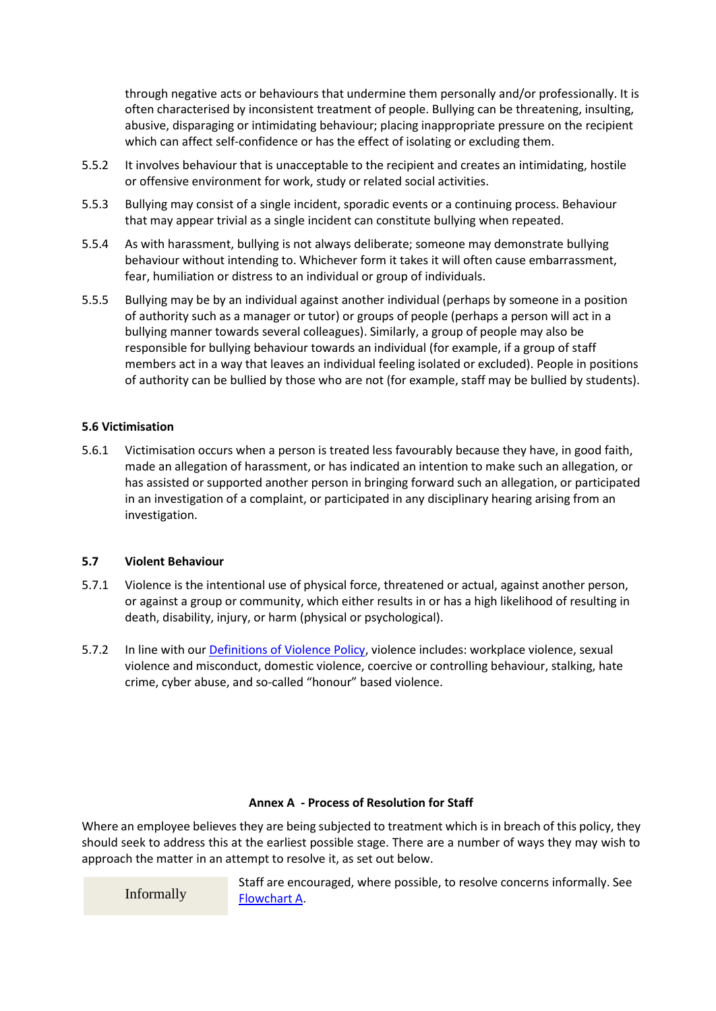through negative acts or behaviours that undermine them personally and/or professionally. It is often characterised by inconsistent treatment of people. Bullying can be threatening, insulting, abusive, disparaging or intimidating behaviour; placing inappropriate pressure on the recipient which can affect self-confidence or has the effect of isolating or excluding them.

- 5.5.2 It involves behaviour that is unacceptable to the recipient and creates an intimidating, hostile or offensive environment for work, study or related social activities.
- 5.5.3 Bullying may consist of a single incident, sporadic events or a continuing process. Behaviour that may appear trivial as a single incident can constitute bullying when repeated.
- 5.5.4 As with harassment, bullying is not always deliberate; someone may demonstrate bullying behaviour without intending to. Whichever form it takes it will often cause embarrassment, fear, humiliation or distress to an individual or group of individuals.
- 5.5.5 Bullying may be by an individual against another individual (perhaps by someone in a position of authority such as a manager or tutor) or groups of people (perhaps a person will act in a bullying manner towards several colleagues). Similarly, a group of people may also be responsible for bullying behaviour towards an individual (for example, if a group of staff members act in a way that leaves an individual feeling isolated or excluded). People in positions of authority can be bullied by those who are not (for example, staff may be bullied by students).

## **5.6 Victimisation**

5.6.1 Victimisation occurs when a person is treated less favourably because they have, in good faith, made an allegation of harassment, or has indicated an intention to make such an allegation, or has assisted or supported another person in bringing forward such an allegation, or participated in an investigation of a complaint, or participated in any disciplinary hearing arising from an investigation.

## **5.7 Violent Behaviour**

- 5.7.1 Violence is the intentional use of physical force, threatened or actual, against another person, or against a group or community, which either results in or has a high likelihood of resulting in death, disability, injury, or harm (physical or psychological).
- 5.7.2 In line with our [Definitions of Violence Policy,](https://www.sussex.ac.uk/webteam/gateway/file.php?name=definitions-of-violence.pdf&site=302) violence includes: workplace violence, sexual violence and misconduct, domestic violence, coercive or controlling behaviour, stalking, hate crime, cyber abuse, and so-called "honour" based violence.

## **Annex A - Process of Resolution for Staff**

Where an employee believes they are being subjected to treatment which is in breach of this policy, they should seek to address this at the earliest possible stage. There are a number of ways they may wish to approach the matter in an attempt to resolve it, as set out below.

Informally

Staff are encouraged, where possible, to resolve concerns informally. See [Flowchart A.](https://www.sussex.ac.uk/webteam/gateway/file.php?name=flow-chart-a.pdf&site=608)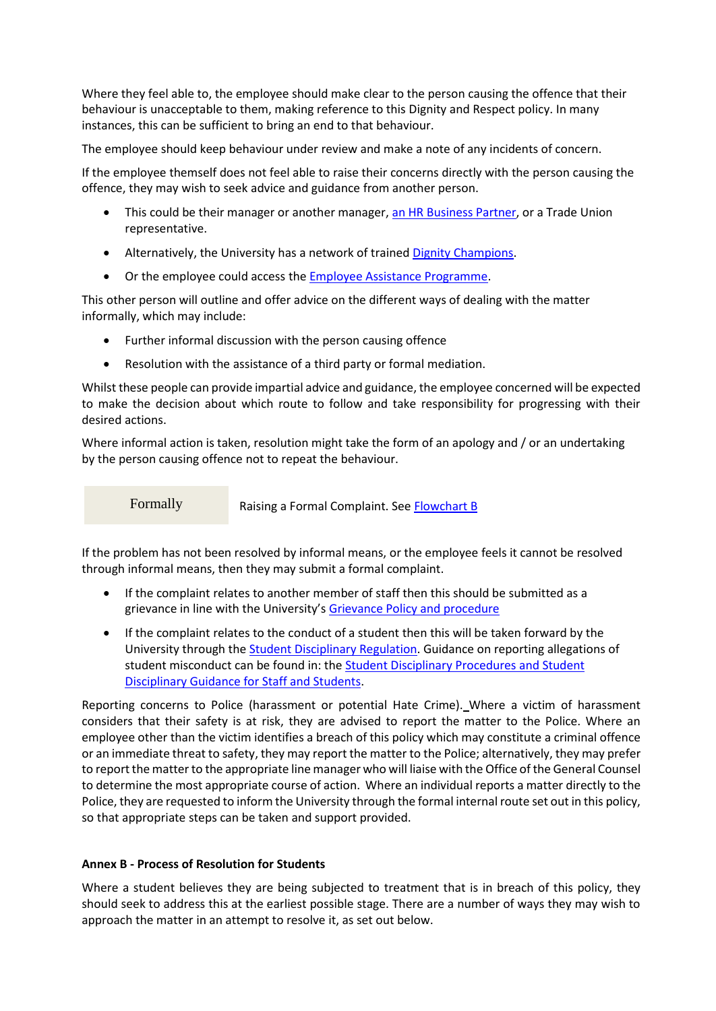Where they feel able to, the employee should make clear to the person causing the offence that their behaviour is unacceptable to them, making reference to this Dignity and Respect policy. In many instances, this can be sufficient to bring an end to that behaviour.

The employee should keep behaviour under review and make a note of any incidents of concern.

If the employee themself does not feel able to raise their concerns directly with the person causing the offence, they may wish to seek advice and guidance from another person.

- This could be their manager or another manager, [an HR Business Partner,](http://www.sussex.ac.uk/humanresources/personnel) or a Trade Union representative.
- Alternatively, the University has a network of trained [Dignity Champions.](https://www.sussex.ac.uk/staff/dignity-and-respect/dignity-champions)
- Or the employee could access th[e Employee Assistance Programme.](http://www.sussex.ac.uk/humanresources/reward-and-benefits/employee-assistance-programme)

This other person will outline and offer advice on the different ways of dealing with the matter informally, which may include:

- Further informal discussion with the person causing offence
- Resolution with the assistance of a third party or formal mediation.

Whilst these people can provide impartial advice and guidance, the employee concerned will be expected to make the decision about which route to follow and take responsibility for progressing with their desired actions.

Where informal action is taken, resolution might take the form of an apology and / or an undertaking by the person causing offence not to repeat the behaviour.

Formally

Raising a Formal Complaint. Se[e Flowchart B](https://www.sussex.ac.uk/webteam/gateway/file.php?name=flow-chart-b.pdf&site=608)

If the problem has not been resolved by informal means, or the employee feels it cannot be resolved through informal means, then they may submit a formal complaint.

- If the complaint relates to another member of staff then this should be submitted as a grievance in line with the University's [Grievance Policy and procedure](https://www.sussex.ac.uk/webteam/gateway/file.php?name=griev-proc.pdf&site=302)
- If the complaint relates to the conduct of a student then this will be taken forward by the University through th[e Student Disciplinary Regulation.](https://www.sussex.ac.uk/webteam/gateway/file.php?name=regulation-2.pdf&site=76) Guidance on reporting allegations of student misconduct can be found in: the **Student Disciplinary Procedures and Student** [Disciplinary Guidance for Staff and Students.](http://www.sussex.ac.uk/ogs/policies/student-discipline)

Reporting concerns to Police (harassment or potential Hate Crime). Where a victim of harassment considers that their safety is at risk, they are advised to report the matter to the Police. Where an employee other than the victim identifies a breach of this policy which may constitute a criminal offence or an immediate threat to safety, they may report the matter to the Police; alternatively, they may prefer to report the matter to the appropriate line manager who will liaise with the Office of the General Counsel to determine the most appropriate course of action. Where an individual reports a matter directly to the Police, they are requested to inform the University through the formal internal route set out in this policy, so that appropriate steps can be taken and support provided.

## **Annex B - Process of Resolution for Students**

Where a student believes they are being subjected to treatment that is in breach of this policy, they should seek to address this at the earliest possible stage. There are a number of ways they may wish to approach the matter in an attempt to resolve it, as set out below.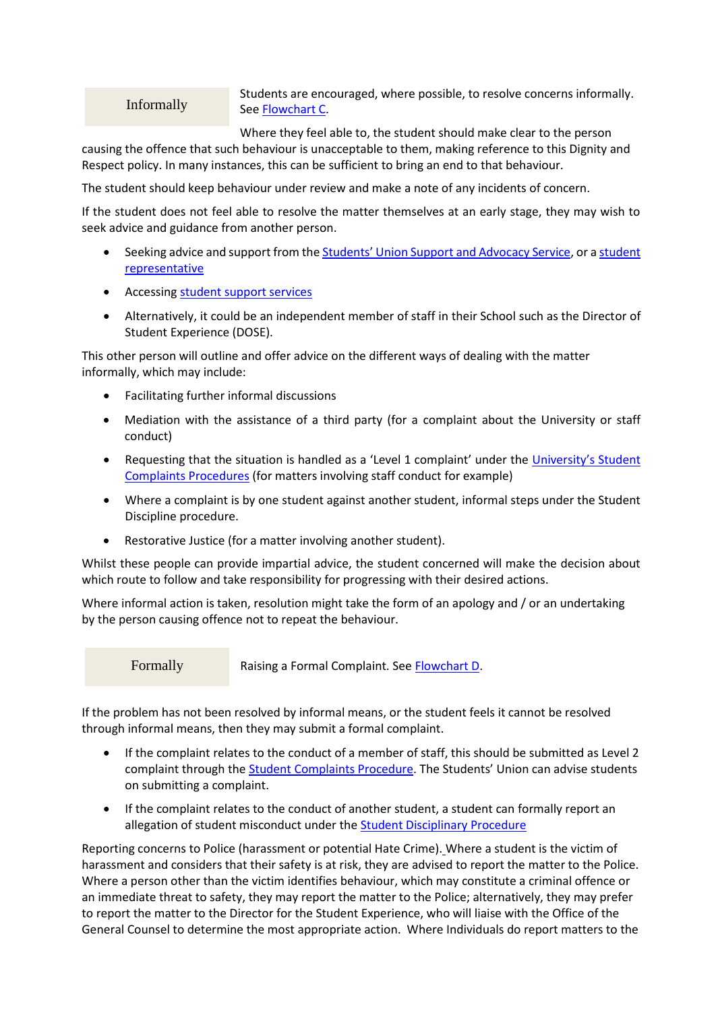Informally

Students are encouraged, where possible, to resolve concerns informally. See [Flowchart C.](https://www.sussex.ac.uk/webteam/gateway/file.php?name=flow-chart-c.pdf&site=608)

Where they feel able to, the student should make clear to the person

causing the offence that such behaviour is unacceptable to them, making reference to this Dignity and Respect policy. In many instances, this can be sufficient to bring an end to that behaviour.

The student should keep behaviour under review and make a note of any incidents of concern.

If the student does not feel able to resolve the matter themselves at an early stage, they may wish to seek advice and guidance from another person.

- Seeking advice and support from the **[Students' Union Support and Advocacy Service](https://www.sussexstudent.com/support/)**, or a student [representative](http://www.sussex.ac.uk/adqe/enhancement/studentengagement/studentreps)
- Accessing [student support services](https://www.sussex.ac.uk/studentsupport/)
- Alternatively, it could be an independent member of staff in their School such as the Director of Student Experience (DOSE).

This other person will outline and offer advice on the different ways of dealing with the matter informally, which may include:

- Facilitating further informal discussions
- Mediation with the assistance of a third party (for a complaint about the University or staff conduct)
- Requesting that the situation is handled as a 'Level 1 complaint' under the University's Student [Complaints Procedures](http://www.sussex.ac.uk/ogs/complaintsappeals/students) (for matters involving staff conduct for example)
- Where a complaint is by one student against another student, informal steps under the Student Discipline procedure.
- Restorative Justice (for a matter involving another student).

Whilst these people can provide impartial advice, the student concerned will make the decision about which route to follow and take responsibility for progressing with their desired actions.

Where informal action is taken, resolution might take the form of an apology and / or an undertaking by the person causing offence not to repeat the behaviour.

Formally

Raising a Formal Complaint. See [Flowchart D.](https://www.sussex.ac.uk/webteam/gateway/file.php?name=flow-chart-d.pdf&site=608)

If the problem has not been resolved by informal means, or the student feels it cannot be resolved through informal means, then they may submit a formal complaint.

- If the complaint relates to the conduct of a member of staff, this should be submitted as Level 2 complaint through the **Student Complaints Procedure**. The Students' Union can advise students on submitting a complaint.
- If the complaint relates to the conduct of another student, a student can formally report an allegation of student misconduct under the [Student Disciplinary Procedure](http://www.sussex.ac.uk/ogs/policies/student-discipline)

Reporting concerns to Police (harassment or potential Hate Crime). Where a student is the victim of harassment and considers that their safety is at risk, they are advised to report the matter to the Police. Where a person other than the victim identifies behaviour, which may constitute a criminal offence or an immediate threat to safety, they may report the matter to the Police; alternatively, they may prefer to report the matter to the Director for the Student Experience, who will liaise with the Office of the General Counsel to determine the most appropriate action. Where Individuals do report matters to the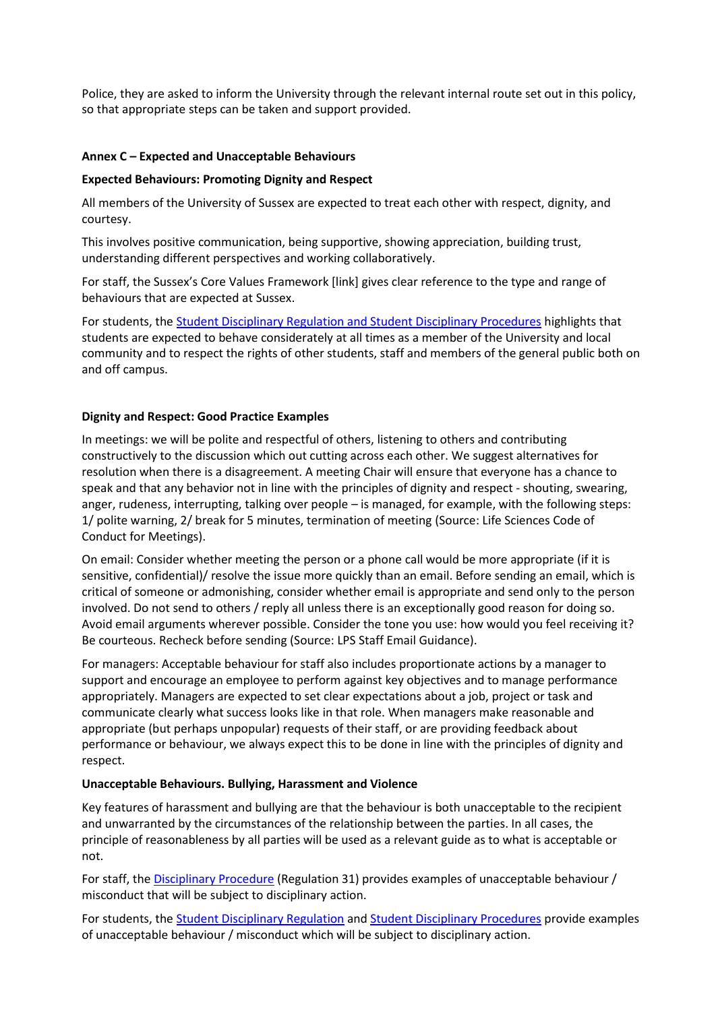Police, they are asked to inform the University through the relevant internal route set out in this policy, so that appropriate steps can be taken and support provided.

## **Annex C – Expected and Unacceptable Behaviours**

## **Expected Behaviours: Promoting Dignity and Respect**

All members of the University of Sussex are expected to treat each other with respect, dignity, and courtesy.

This involves positive communication, being supportive, showing appreciation, building trust, understanding different perspectives and working collaboratively.

For staff, the Sussex's Core Values Framework [link] gives clear reference to the type and range of behaviours that are expected at Sussex.

For students, th[e Student Disciplinary Regulation and Student Disciplinary Procedures](http://www.sussex.ac.uk/ogs/policies/student-discipline) highlights that students are expected to behave considerately at all times as a member of the University and local community and to respect the rights of other students, staff and members of the general public both on and off campus.

## **Dignity and Respect: Good Practice Examples**

In meetings: we will be polite and respectful of others, listening to others and contributing constructively to the discussion which out cutting across each other. We suggest alternatives for resolution when there is a disagreement. A meeting Chair will ensure that everyone has a chance to speak and that any behavior not in line with the principles of dignity and respect - shouting, swearing, anger, rudeness, interrupting, talking over people – is managed, for example, with the following steps: 1/ polite warning, 2/ break for 5 minutes, termination of meeting (Source: Life Sciences Code of Conduct for Meetings).

On email: Consider whether meeting the person or a phone call would be more appropriate (if it is sensitive, confidential)/ resolve the issue more quickly than an email. Before sending an email, which is critical of someone or admonishing, consider whether email is appropriate and send only to the person involved. Do not send to others / reply all unless there is an exceptionally good reason for doing so. Avoid email arguments wherever possible. Consider the tone you use: how would you feel receiving it? Be courteous. Recheck before sending (Source: LPS Staff Email Guidance).

For managers: Acceptable behaviour for staff also includes proportionate actions by a manager to support and encourage an employee to perform against key objectives and to manage performance appropriately. Managers are expected to set clear expectations about a job, project or task and communicate clearly what success looks like in that role. When managers make reasonable and appropriate (but perhaps unpopular) requests of their staff, or are providing feedback about performance or behaviour, we always expect this to be done in line with the principles of dignity and respect.

## **Unacceptable Behaviours. Bullying, Harassment and Violence**

Key features of harassment and bullying are that the behaviour is both unacceptable to the recipient and unwarranted by the circumstances of the relationship between the parties. In all cases, the principle of reasonableness by all parties will be used as a relevant guide as to what is acceptable or not.

For staff, the [Disciplinary Procedure](https://www.sussex.ac.uk/webteam/gateway/file.php?name=regulation31.pdf&site=76) (Regulation 31) provides examples of unacceptable behaviour / misconduct that will be subject to disciplinary action.

For students, th[e Student Disciplinary Regulation](https://www.sussex.ac.uk/webteam/gateway/file.php?name=regulation-2.pdf&site=76) and [Student Disciplinary Procedures](https://www.sussex.ac.uk/webteam/gateway/file.php?name=reg-2-overview.pdf&site=76) provide examples of unacceptable behaviour / misconduct which will be subject to disciplinary action.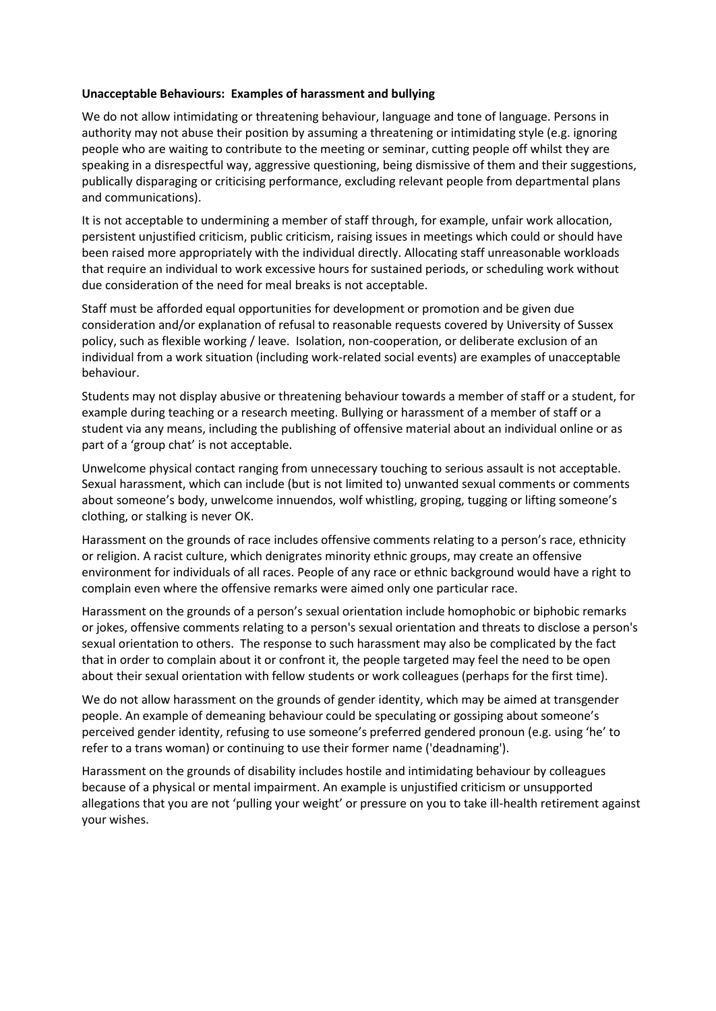#### **Unacceptable Behaviours: Examples of harassment and bullying**

We do not allow intimidating or threatening behaviour, language and tone of language. Persons in authority may not abuse their position by assuming a threatening or intimidating style (e.g. ignoring people who are waiting to contribute to the meeting or seminar, cutting people off whilst they are speaking in a disrespectful way, aggressive questioning, being dismissive of them and their suggestions, publically disparaging or criticising performance, excluding relevant people from departmental plans and communications).

It is not acceptable to undermining a member of staff through, for example, unfair work allocation, persistent unjustified criticism, public criticism, raising issues in meetings which could or should have been raised more appropriately with the individual directly. Allocating staff unreasonable workloads that require an individual to work excessive hours for sustained periods, or scheduling work without due consideration of the need for meal breaks is not acceptable.

Staff must be afforded equal opportunities for development or promotion and be given due consideration and/or explanation of refusal to reasonable requests covered by University of Sussex policy, such as flexible working / leave. Isolation, non-cooperation, or deliberate exclusion of an individual from a work situation (including work-related social events) are examples of unacceptable behaviour.

Students may not display abusive or threatening behaviour towards a member of staff or a student, for example during teaching or a research meeting. Bullying or harassment of a member of staff or a student via any means, including the publishing of offensive material about an individual online or as part of a 'group chat' is not acceptable.

Unwelcome physical contact ranging from unnecessary touching to serious assault is not acceptable. Sexual harassment, which can include (but is not limited to) unwanted sexual comments or comments about someone's body, unwelcome innuendos, wolf whistling, groping, tugging or lifting someone's clothing, or stalking is never OK.

Harassment on the grounds of race includes offensive comments relating to a person's race, ethnicity or religion. A racist culture, which denigrates minority ethnic groups, may create an offensive environment for individuals of all races. People of any race or ethnic background would have a right to complain even where the offensive remarks were aimed only one particular race.

Harassment on the grounds of a person's sexual orientation include homophobic or biphobic remarks or jokes, offensive comments relating to a person's sexual orientation and threats to disclose a person's sexual orientation to others. The response to such harassment may also be complicated by the fact that in order to complain about it or confront it, the people targeted may feel the need to be open about their sexual orientation with fellow students or work colleagues (perhaps for the first time).

We do not allow harassment on the grounds of gender identity, which may be aimed at transgender people. An example of demeaning behaviour could be speculating or gossiping about someone's perceived gender identity, refusing to use someone's preferred gendered pronoun (e.g. using 'he' to refer to a trans woman) or continuing to use their former name ('deadnaming').

Harassment on the grounds of disability includes hostile and intimidating behaviour by colleagues because of a physical or mental impairment. An example is unjustified criticism or unsupported allegations that you are not 'pulling your weight' or pressure on you to take ill-health retirement against your wishes.